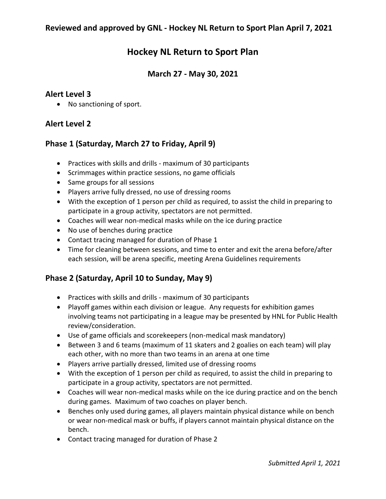# **Hockey NL Return to Sport Plan**

## **March 27 - May 30, 2021**

### **Alert Level 3**

• No sanctioning of sport.

## **Alert Level 2**

### **Phase 1 (Saturday, March 27 to Friday, April 9)**

- Practices with skills and drills maximum of 30 participants
- Scrimmages within practice sessions, no game officials
- Same groups for all sessions
- Players arrive fully dressed, no use of dressing rooms
- With the exception of 1 person per child as required, to assist the child in preparing to participate in a group activity, spectators are not permitted.
- Coaches will wear non-medical masks while on the ice during practice
- No use of benches during practice
- Contact tracing managed for duration of Phase 1
- Time for cleaning between sessions, and time to enter and exit the arena before/after each session, will be arena specific, meeting Arena Guidelines requirements

## **Phase 2 (Saturday, April 10 to Sunday, May 9)**

- Practices with skills and drills maximum of 30 participants
- Playoff games within each division or league. Any requests for exhibition games involving teams not participating in a league may be presented by HNL for Public Health review/consideration.
- Use of game officials and scorekeepers (non-medical mask mandatory)
- Between 3 and 6 teams (maximum of 11 skaters and 2 goalies on each team) will play each other, with no more than two teams in an arena at one time
- Players arrive partially dressed, limited use of dressing rooms
- With the exception of 1 person per child as required, to assist the child in preparing to participate in a group activity, spectators are not permitted.
- Coaches will wear non-medical masks while on the ice during practice and on the bench during games. Maximum of two coaches on player bench.
- Benches only used during games, all players maintain physical distance while on bench or wear non-medical mask or buffs, if players cannot maintain physical distance on the bench.
- Contact tracing managed for duration of Phase 2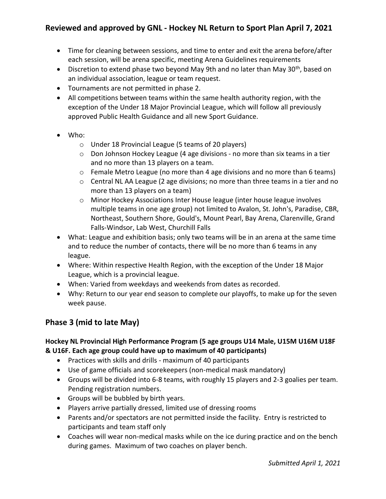# **Reviewed and approved by GNL - Hockey NL Return to Sport Plan April 7, 2021**

- Time for cleaning between sessions, and time to enter and exit the arena before/after each session, will be arena specific, meeting Arena Guidelines requirements
- Discretion to extend phase two beyond May 9th and no later than May 30<sup>th</sup>, based on an individual association, league or team request.
- Tournaments are not permitted in phase 2.
- All competitions between teams within the same health authority region, with the exception of the Under 18 Major Provincial League, which will follow all previously approved Public Health Guidance and all new Sport Guidance.
- Who:
	- o Under 18 Provincial League (5 teams of 20 players)
	- o Don Johnson Hockey League (4 age divisions no more than six teams in a tier and no more than 13 players on a team.
	- $\circ$  Female Metro League (no more than 4 age divisions and no more than 6 teams)
	- o Central NL AA League (2 age divisions; no more than three teams in a tier and no more than 13 players on a team)
	- o Minor Hockey Associations Inter House league (inter house league involves multiple teams in one age group) not limited to Avalon, St. John's, Paradise, CBR, Northeast, Southern Shore, Gould's, Mount Pearl, Bay Arena, Clarenville, Grand Falls-Windsor, Lab West, Churchill Falls
- What: League and exhibition basis; only two teams will be in an arena at the same time and to reduce the number of contacts, there will be no more than 6 teams in any league.
- Where: Within respective Health Region, with the exception of the Under 18 Major League, which is a provincial league.
- When: Varied from weekdays and weekends from dates as recorded.
- Why: Return to our year end season to complete our playoffs, to make up for the seven week pause.

# **Phase 3 (mid to late May)**

### **Hockey NL Provincial High Performance Program (5 age groups U14 Male, U15M U16M U18F & U16F. Each age group could have up to maximum of 40 participants)**

- Practices with skills and drills maximum of 40 participants
- Use of game officials and scorekeepers (non-medical mask mandatory)
- Groups will be divided into 6-8 teams, with roughly 15 players and 2-3 goalies per team. Pending registration numbers.
- Groups will be bubbled by birth years.
- Players arrive partially dressed, limited use of dressing rooms
- Parents and/or spectators are not permitted inside the facility. Entry is restricted to participants and team staff only
- Coaches will wear non-medical masks while on the ice during practice and on the bench during games. Maximum of two coaches on player bench.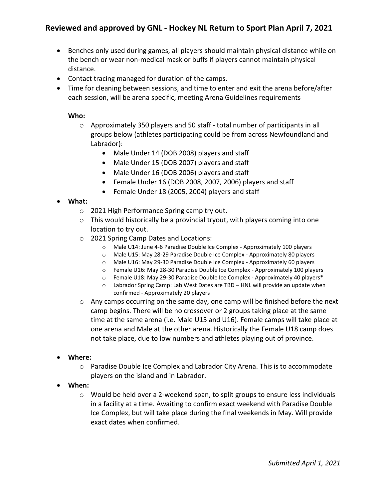# **Reviewed and approved by GNL - Hockey NL Return to Sport Plan April 7, 2021**

- Benches only used during games, all players should maintain physical distance while on the bench or wear non-medical mask or buffs if players cannot maintain physical distance.
- Contact tracing managed for duration of the camps.
- Time for cleaning between sessions, and time to enter and exit the arena before/after each session, will be arena specific, meeting Arena Guidelines requirements

#### **Who:**

- o Approximately 350 players and 50 staff total number of participants in all groups below (athletes participating could be from across Newfoundland and Labrador):
	- Male Under 14 (DOB 2008) players and staff
	- Male Under 15 (DOB 2007) players and staff
	- Male Under 16 (DOB 2006) players and staff
	- Female Under 16 (DOB 2008, 2007, 2006) players and staff
	- Female Under 18 (2005, 2004) players and staff

#### **What:**

- o 2021 High Performance Spring camp try out.
- o This would historically be a provincial tryout, with players coming into one location to try out.
- o 2021 Spring Camp Dates and Locations:
	- o Male U14: June 4-6 Paradise Double Ice Complex Approximately 100 players
	- o Male U15: May 28-29 Paradise Double Ice Complex Approximately 80 players
	- o Male U16: May 29-30 Paradise Double Ice Complex Approximately 60 players
	- o Female U16: May 28-30 Paradise Double Ice Complex Approximately 100 players
	- o Female U18: May 29-30 Paradise Double Ice Complex Approximately 40 players\*
	- o Labrador Spring Camp: Lab West Dates are TBD HNL will provide an update when confirmed - Approximately 20 players
- o Any camps occurring on the same day, one camp will be finished before the next camp begins. There will be no crossover or 2 groups taking place at the same time at the same arena (i.e. Male U15 and U16). Female camps will take place at one arena and Male at the other arena. Historically the Female U18 camp does not take place, due to low numbers and athletes playing out of province.
- **Where:**
	- o Paradise Double Ice Complex and Labrador City Arena. This is to accommodate players on the island and in Labrador.
- **When:** 
	- o Would be held over a 2-weekend span, to split groups to ensure less individuals in a facility at a time. Awaiting to confirm exact weekend with Paradise Double Ice Complex, but will take place during the final weekends in May. Will provide exact dates when confirmed.